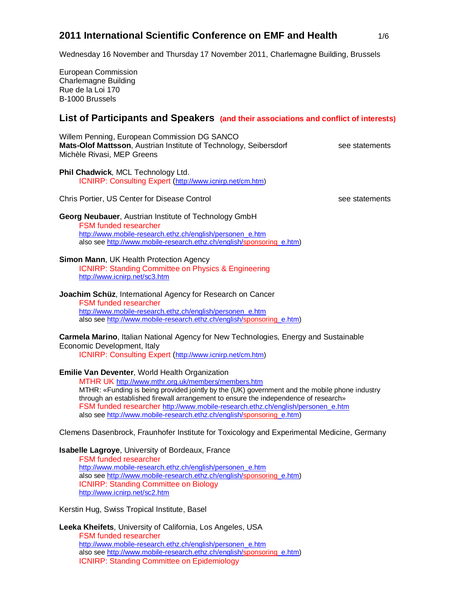# **2011 International Scientific Conference on EMF and Health** 1/6

Wednesday 16 November and Thursday 17 November 2011, Charlemagne Building, Brussels

European Commission Charlemagne Building Rue de la Loi 170 B-1000 Brussels

# **List of Participants and Speakers (and their associations and conflict of interests)**

Willem Penning, European Commission DG SANCO **Mats-Olof Mattsson**, Austrian Institute of Technology, Seibersdorf see statements Michèle Rivasi, MEP Greens

**Phil Chadwick**, MCL Technology Ltd. ICNIRP: Consulting Expert (http://www.icnirp.net/cm.htm)

Chris Portier, US Center for Disease Control see statements see statements

**Georg Neubauer**, Austrian Institute of Technology GmbH FSM funded researcher http://www.mobile-research.ethz.ch/english/personen\_e.htm also see http://www.mobile-research.ethz.ch/english/sponsoring\_e.htm)

#### **Simon Mann**, UK Health Protection Agency

ICNIRP: Standing Committee on Physics & Engineering http://www.icnirp.net/sc3.htm

**Joachim Schüz**, International Agency for Research on Cancer FSM funded researcher http://www.mobile-research.ethz.ch/english/personen\_e.htm also see http://www.mobile-research.ethz.ch/english/sponsoring\_e.htm)

**Carmela Marino**, Italian National Agency for New Technologies, Energy and Sustainable Economic Development, Italy

ICNIRP: Consulting Expert (http://www.icnirp.net/cm.htm)

**Emilie Van Deventer**, World Health Organization

MTHR UK http://www.mthr.org.uk/members/members.htm MTHR: «Funding is being provided jointly by the (UK) government and the mobile phone industry through an established firewall arrangement to ensure the independence of research» FSM funded researcher http://www.mobile-research.ethz.ch/english/personen\_e.htm also see http://www.mobile-research.ethz.ch/english/sponsoring\_e.htm)

Clemens Dasenbrock, Fraunhofer Institute for Toxicology and Experimental Medicine, Germany

#### **Isabelle Lagroye**, University of Bordeaux, France

FSM funded researcher http://www.mobile-research.ethz.ch/english/personen\_e.htm also see http://www.mobile-research.ethz.ch/english/sponsoring\_e.htm) ICNIRP: Standing Committee on Biology http://www.icnirp.net/sc2.htm

Kerstin Hug, Swiss Tropical Institute, Basel

**Leeka Kheifets**, University of California, Los Angeles, USA FSM funded researcher http://www.mobile-research.ethz.ch/english/personen\_e.htm also see http://www.mobile-research.ethz.ch/english/sponsoring\_e.htm) ICNIRP: Standing Committee on Epidemiology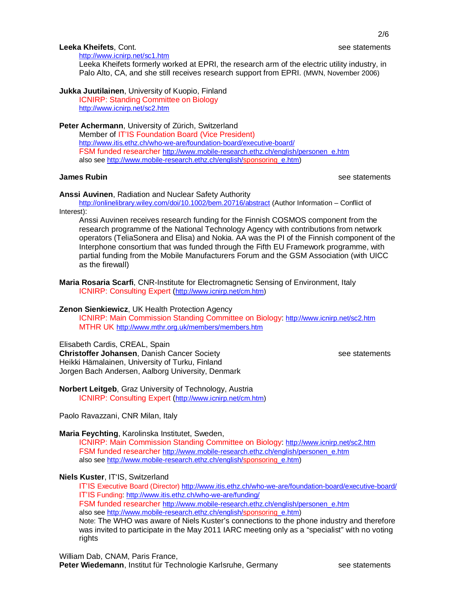# 2/6

### **Leeka Kheifets**, Cont. see statements and the set of the seed of the seed statements and see statements and the seed of the seed of the seed of the seed of the seed of the seed of the seed of the seed of the seed of the s

http://www.icnirp.net/sc1.htm Leeka Kheifets formerly worked at EPRI, the research arm of the electric utility industry, in Palo Alto, CA, and she still receives research support from EPRI. (MWN, November 2006)

**Jukka Juutilainen**, University of Kuopio, Finland

ICNIRP: Standing Committee on Biology http://www.icnirp.net/sc2.htm

**Peter Achermann**, University of Zürich, Switzerland

Member of IT'IS Foundation Board (Vice President) http://www.itis.ethz.ch/who-we-are/foundation-board/executive-board/ FSM funded researcher http://www.mobile-research.ethz.ch/english/personen\_e.htm also see http://www.mobile-research.ethz.ch/english/sponsoring\_e.htm)

**James Rubin** see statements and the seed of the seed of the seed of the seed of the seed of the seed of the seed of the seed of the seed of the seed of the seed of the seed of the seed of the seed of the seed of the seed

# **Anssi Auvinen**, Radiation and Nuclear Safety Authority

http://onlinelibrary.wiley.com/doi/10.1002/bem.20716/abstract (Author Information – Conflict of

Interest):

Anssi Auvinen receives research funding for the Finnish COSMOS component from the research programme of the National Technology Agency with contributions from network operators (TeliaSonera and Elisa) and Nokia. AA was the PI of the Finnish component of the Interphone consortium that was funded through the Fifth EU Framework programme, with partial funding from the Mobile Manufacturers Forum and the GSM Association (with UICC as the firewall)

**Maria Rosaria Scarfi**, CNR-Institute for Electromagnetic Sensing of Environment, Italy ICNIRP: Consulting Expert (http://www.icnirp.net/cm.htm)

# **Zenon Sienkiewicz**, UK Health Protection Agency

ICNIRP: Main Commission Standing Committee on Biology: http://www.icnirp.net/sc2.htm MTHR UK http://www.mthr.org.uk/members/members.htm

# Elisabeth Cardis, CREAL, Spain

**Christoffer Johansen**, Danish Cancer Society **See Statements** see statements Heikki Hämalainen, University of Turku, Finland Jorgen Bach Andersen, Aalborg University, Denmark

**Norbert Leitgeb**, Graz University of Technology, Austria ICNIRP: Consulting Expert (http://www.icnirp.net/cm.htm)

Paolo Ravazzani, CNR Milan, Italy

# **Maria Feychting**, Karolinska Institutet, Sweden,

ICNIRP: Main Commission Standing Committee on Biology: http://www.icnirp.net/sc2.htm FSM funded researcher http://www.mobile-research.ethz.ch/english/personen\_e.htm also see http://www.mobile-research.ethz.ch/english/sponsoring\_e.htm)

# **Niels Kuster**, IT'IS, Switzerland

IT'IS Executive Board (Director) http://www.itis.ethz.ch/who-we-are/foundation-board/executive-board/ IT'IS Funding: http://www.itis.ethz.ch/who-we-are/funding/ FSM funded researcher http://www.mobile-research.ethz.ch/english/personen\_e.htm

also see http://www.mobile-research.ethz.ch/english/sponsoring\_e.htm)

Note: The WHO was aware of Niels Kuster's connections to the phone industry and therefore was invited to participate in the May 2011 IARC meeting only as a "specialist" with no voting rights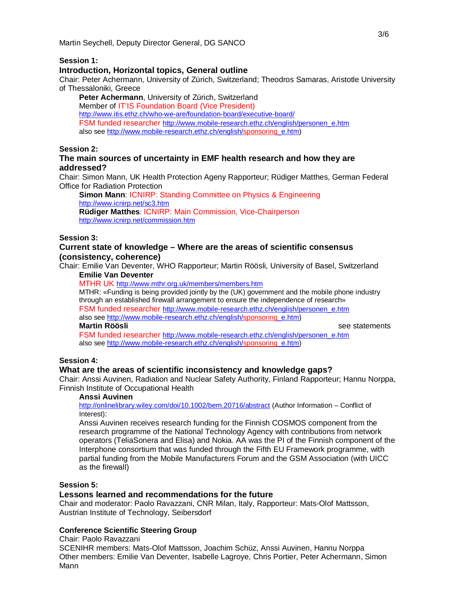### **Session 1:**

## **Introduction, Horizontal topics, General outline**

Chair: Peter Achermann, University of Zürich, Switzerland; Theodros Samaras, Aristotle University of Thessaloniki, Greece

**Peter Achermann**, University of Zürich, Switzerland Member of IT'IS Foundation Board (Vice President) http://www.itis.ethz.ch/who-we-are/foundation-board/executive-board/ FSM funded researcher http://www.mobile-research.ethz.ch/english/personen\_e.htm also see http://www.mobile-research.ethz.ch/english/sponsoring\_e.htm)

# **Session 2:**

# **The main sources of uncertainty in EMF health research and how they are addressed?**

Chair: Simon Mann, UK Health Protection Ageny Rapporteur; Rüdiger Matthes, German Federal Office for Radiation Protection

**Simon Mann**: ICNIRP: Standing Committee on Physics & Engineering http://www.icnirp.net/sc3.htm **Rüdiger Matthes**: ICNIRP: Main Commission, Vice-Chairperson http://www.icnirp.net/commission.htm

#### **Session 3:**

## **Current state of knowledge – Where are the areas of scientific consensus (consistency, coherence)**

Chair: Emilie Van Deventer, WHO Rapporteur; Martin Röösli, University of Basel, Switzerland **Emilie Van Deventer**

MTHR UK http://www.mthr.org.uk/members/members.htm

MTHR: «Funding is being provided jointly by the (UK) government and the mobile phone industry through an established firewall arrangement to ensure the independence of research» FSM funded researcher http://www.mobile-research.ethz.ch/english/personen\_e.htm also see http://www.mobile-research.ethz.ch/english/sponsoring\_e.htm) **Martin Röösli** see statements

FSM funded researcher http://www.mobile-research.ethz.ch/english/personen\_e.htm also see http://www.mobile-research.ethz.ch/english/sponsoring\_e.htm)

#### **Session 4:**

### **What are the areas of scientific inconsistency and knowledge gaps?**

Chair: Anssi Auvinen, Radiation and Nuclear Safety Authority, Finland Rapporteur; Hannu Norppa, Finnish Institute of Occupational Health

#### **Anssi Auvinen**

http://onlinelibrary.wiley.com/doi/10.1002/bem.20716/abstract (Author Information – Conflict of Interest):

Anssi Auvinen receives research funding for the Finnish COSMOS component from the research programme of the National Technology Agency with contributions from network operators (TeliaSonera and Elisa) and Nokia. AA was the PI of the Finnish component of the Interphone consortium that was funded through the Fifth EU Framework programme, with partial funding from the Mobile Manufacturers Forum and the GSM Association (with UICC as the firewall)

#### **Session 5:**

#### **Lessons learned and recommendations for the future**

Chair and moderator: Paolo Ravazzani, CNR Milan, Italy, Rapporteur: Mats-Olof Mattsson, Austrian Institute of Technology, Seibersdorf

#### **Conference Scientific Steering Group**

Chair: Paolo Ravazzani SCENIHR members: Mats-Olof Mattsson, Joachim Schüz, Anssi Auvinen, Hannu Norppa Other members: Emilie Van Deventer, Isabelle Lagroye, Chris Portier, Peter Achermann, Simon Mann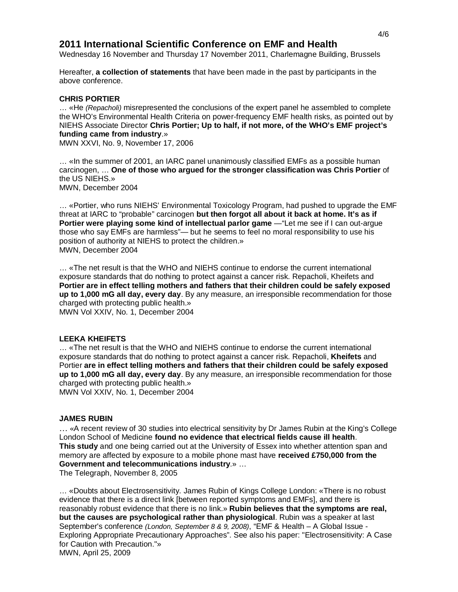# **2011 International Scientific Conference on EMF and Health**

Wednesday 16 November and Thursday 17 November 2011, Charlemagne Building, Brussels

Hereafter, **a collection of statements** that have been made in the past by participants in the above conference.

### **CHRIS PORTIER**

… «He *(Repacholi)* misrepresented the conclusions of the expert panel he assembled to complete the WHO's Environmental Health Criteria on power-frequency EMF health risks, as pointed out by NIEHS Associate Director **Chris Portier; Up to half, if not more, of the WHO's EMF project's funding came from industry**.»

MWN XXVI, No. 9, November 17, 2006

… «In the summer of 2001, an IARC panel unanimously classified EMFs as a possible human carcinogen, … **One of those who argued for the stronger classification was Chris Portier** of the US NIEHS.» MWN, December 2004

… «Portier, who runs NIEHS' Environmental Toxicology Program, had pushed to upgrade the EMF threat at IARC to "probable" carcinogen **but then forgot all about it back at home. It's as if Portier were playing some kind of intellectual parlor game** — "Let me see if I can out-argue those who say EMFs are harmless"— but he seems to feel no moral responsibility to use his position of authority at NIEHS to protect the children.» MWN, December 2004

… «The net result is that the WHO and NIEHS continue to endorse the current international exposure standards that do nothing to protect against a cancer risk. Repacholi, Kheifets and **Portier are in effect telling mothers and fathers that their children could be safely exposed up to 1,000 mG all day, every day**. By any measure, an irresponsible recommendation for those charged with protecting public health.» MWN Vol XXIV, No. 1, December 2004

#### **LEEKA KHEIFETS**

… «The net result is that the WHO and NIEHS continue to endorse the current international exposure standards that do nothing to protect against a cancer risk. Repacholi, **Kheifets** and Portier **are in effect telling mothers and fathers that their children could be safely exposed up to 1,000 mG all day, every day**. By any measure, an irresponsible recommendation for those charged with protecting public health.» MWN Vol XXIV, No. 1, December 2004

#### **JAMES RUBIN**

… «A recent review of 30 studies into electrical sensitivity by Dr James Rubin at the King's College London School of Medicine **found no evidence that electrical fields cause ill health**. **This study** and one being carried out at the University of Essex into whether attention span and memory are affected by exposure to a mobile phone mast have **received £750,000 from the Government and telecommunications industry**.» …

The Telegraph, November 8, 2005

… «Doubts about Electrosensitivity. James Rubin of Kings College London: «There is no robust evidence that there is a direct link [between reported symptoms and EMFs], and there is reasonably robust evidence that there is no link.» **Rubin believes that the symptoms are real, but the causes are psychological rather than physiological**. Rubin was a speaker at last September's conference *(London, September 8 & 9, 2008)*, "EMF & Health – A Global Issue - Exploring Appropriate Precautionary Approaches". See also his paper: "Electrosensitivity: A Case for Caution with Precaution."» MWN, April 25, 2009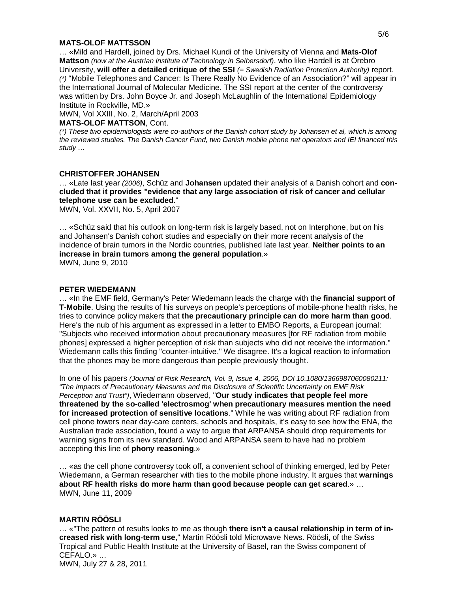#### **MATS-OLOF MATTSSON**

… «Mild and Hardell, joined by Drs. Michael Kundi of the University of Vienna and **Mats-Olof Mattson** *(now at the Austrian Institute of Technology in Seibersdorf)*, who like Hardell is at Örebro University, **will offer a detailed critique of the SSI** *(= Swedish Radiation Protection Authority)* report. *(\*)* "Mobile Telephones and Cancer: Is There Really No Evidence of an Association?" will appear in the International Journal of Molecular Medicine. The SSI report at the center of the controversy was written by Drs. John Boyce Jr. and Joseph McLaughlin of the International Epidemiology Institute in Rockville, MD.»

MWN, Vol XXIII, No. 2, March/April 2003

#### **MATS-OLOF MATTSON**, Cont.

*(\*) These two epidemiologists were co-authors of the Danish cohort study by Johansen et al, which is among the reviewed studies. The Danish Cancer Fund, two Danish mobile phone net operators and IEI financed this study …*

#### **CHRISTOFFER JOHANSEN**

… «Late last year *(2006)*, Schüz and **Johansen** updated their analysis of a Danish cohort and **concluded that it provides "evidence that any large association of risk of cancer and cellular telephone use can be excluded**."

MWN, Vol. XXVII, No. 5, April 2007

… «Schüz said that his outlook on long-term risk is largely based, not on Interphone, but on his and Johansen's Danish cohort studies and especially on their more recent analysis of the incidence of brain tumors in the Nordic countries, published late last year. **Neither points to an increase in brain tumors among the general population**.» MWN, June 9, 2010

#### **PETER WIEDEMANN**

… «In the EMF field, Germany's Peter Wiedemann leads the charge with the **financial support of T-Mobile**. Using the results of his surveys on people's perceptions of mobile-phone health risks, he tries to convince policy makers that **the precautionary principle can do more harm than good**. Here's the nub of his argument as expressed in a letter to EMBO Reports, a European journal: "Subjects who received information about precautionary measures [for RF radiation from mobile phones] expressed a higher perception of risk than subjects who did not receive the information." Wiedemann calls this finding "counter-intuitive." We disagree. It's a logical reaction to information that the phones may be more dangerous than people previously thought.

In one of his papers *(Journal of Risk Research, Vol. 9, Issue 4, 2006, DOI 10.1080/1366987060080211: "The Impacts of Precautionary Measures and the Disclosure of Scientific Uncertainty on EMF Risk Perception and Trust")*, Wiedemann observed, "**Our study indicates that people feel more threatened by the so-called 'electrosmog' when precautionary measures mention the need for increased protection of sensitive locations**." While he was writing about RF radiation from cell phone towers near day-care centers, schools and hospitals, it's easy to see how the ENA, the Australian trade association, found a way to argue that ARPANSA should drop requirements for warning signs from its new standard. Wood and ARPANSA seem to have had no problem accepting this line of **phony reasoning**.»

… «as the cell phone controversy took off, a convenient school of thinking emerged, led by Peter Wiedemann, a German researcher with ties to the mobile phone industry. It argues that **warnings about RF health risks do more harm than good because people can get scared**.» … MWN, June 11, 2009

### **MARTIN RÖÖSLI**

… «"The pattern of results looks to me as though **there isn't a causal relationship in term of increased risk with long-term use**," Martin Röösli told Microwave News. Röösli, of the Swiss Tropical and Public Health Institute at the University of Basel, ran the Swiss component of CEFALO.» …

MWN, July 27 & 28, 2011